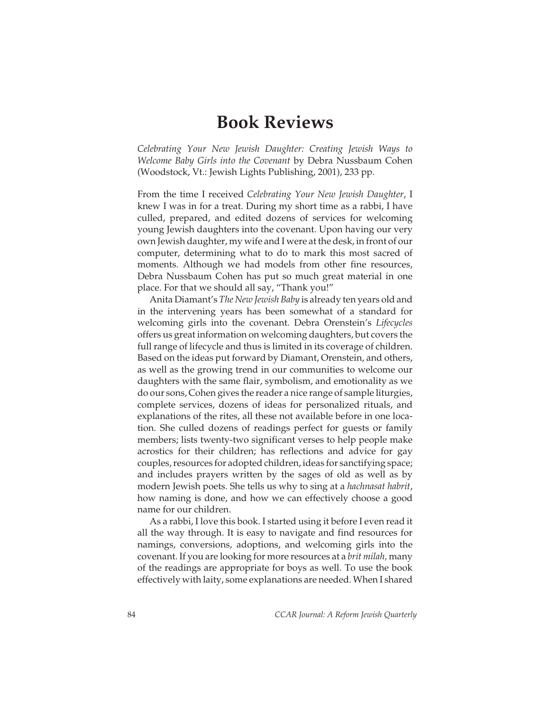# Book Reviews

Celebrating Your New Jewish Daughter: Creating Jewish Ways to Welcome Baby Girls into the Covenant by Debra Nussbaum Cohen (Woodstock, Vt.: Jewish Lights Publishing, 2001), 233 pp.

From the time I received Celebrating Your New Jewish Daughter, I knew I was in for a treat. During my short time as a rabbi, I have culled, prepared, and edited dozens of services for welcoming young Jewish daughters into the covenant. Upon having our very own Jewish daughter, my wife and I were at the desk, in front of our computer, determining what to do to mark this most sacred of moments. Although we had models from other fine resources, Debra Nussbaum Cohen has put so much great material in one place. For that we should all say, "Thank you!"

Anita Diamant's The New Jewish Baby is already ten years old and in the intervening years has been somewhat of a standard for welcoming girls into the covenant. Debra Orenstein's Lifecycles offers us great information on welcoming daughters, but covers the full range of lifecycle and thus is limited in its coverage of children. Based on the ideas put forward by Diamant, Orenstein, and others, as well as the growing trend in our communities to welcome our daughters with the same flair, symbolism, and emotionality as we do our sons, Cohen gives the reader a nice range of sample liturgies, complete services, dozens of ideas for personalized rituals, and explanations of the rites, all these not available before in one location. She culled dozens of readings perfect for guests or family members; lists twenty-two significant verses to help people make acrostics for their children; has reflections and advice for gay couples, resources for adopted children, ideas for sanctifying space; and includes prayers written by the sages of old as well as by modern Jewish poets. She tells us why to sing at a *hachnasat habrit*, how naming is done, and how we can effectively choose a good name for our children.

As a rabbi, I love this book. I started using it before I even read it all the way through. It is easy to navigate and find resources for namings, conversions, adoptions, and welcoming girls into the covenant. If you are looking for more resources at a brit milah, many of the readings are appropriate for boys as well. To use the book effectively with laity, some explanations are needed. When I shared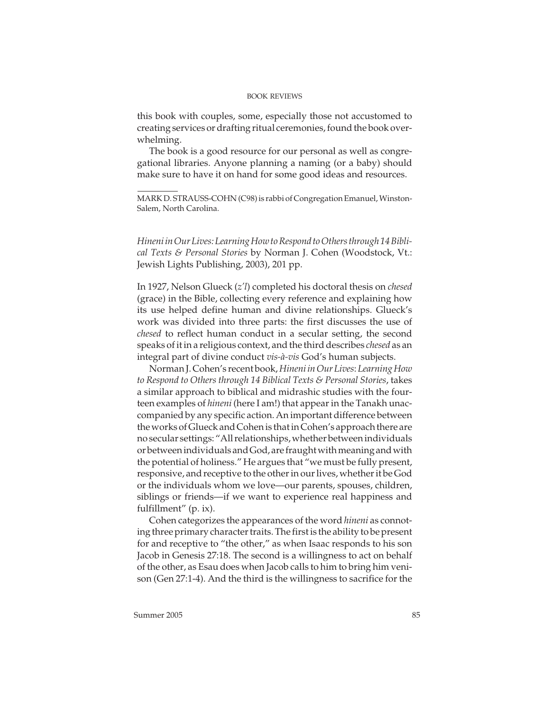this book with couples, some, especially those not accustomed to creating services or drafting ritual ceremonies, found the book overwhelming.

The book is a good resource for our personal as well as congregational libraries. Anyone planning a naming (or a baby) should make sure to have it on hand for some good ideas and resources.

MARK D. STRAUSS-COHN (C98) is rabbi of Congregation Emanuel, Winston-Salem, North Carolina.

Hineni in Our Lives: Learning How to Respond to Others through 14 Biblical Texts & Personal Stories by Norman J. Cohen (Woodstock, Vt.: Jewish Lights Publishing, 2003), 201 pp.

In 1927, Nelson Glueck (z'l) completed his doctoral thesis on chesed (grace) in the Bible, collecting every reference and explaining how its use helped define human and divine relationships. Glueck's work was divided into three parts: the first discusses the use of chesed to reflect human conduct in a secular setting, the second speaks of it in a religious context, and the third describes chesed as an integral part of divine conduct vis-à-vis God's human subjects.

Norman J. Cohen's recent book, Hineni in Our Lives: Learning How to Respond to Others through 14 Biblical Texts & Personal Stories, takes a similar approach to biblical and midrashic studies with the fourteen examples of *hineni* (here I am!) that appear in the Tanakh unaccompanied by any specific action. An important difference between the works of Glueck and Cohen is that in Cohen's approach there are no secular settings: "All relationships, whether between individuals or between individuals and God, are fraught with meaning and with the potential of holiness." He argues that "we must be fully present, responsive, and receptive to the other in our lives, whether it be God or the individuals whom we love—our parents, spouses, children, siblings or friends—if we want to experience real happiness and fulfillment" (p. ix).

Cohen categorizes the appearances of the word hineni as connoting three primary character traits. The first is the ability to be present for and receptive to "the other," as when Isaac responds to his son Jacob in Genesis 27:18. The second is a willingness to act on behalf of the other, as Esau does when Jacob calls to him to bring him venison (Gen 27:1-4). And the third is the willingness to sacrifice for the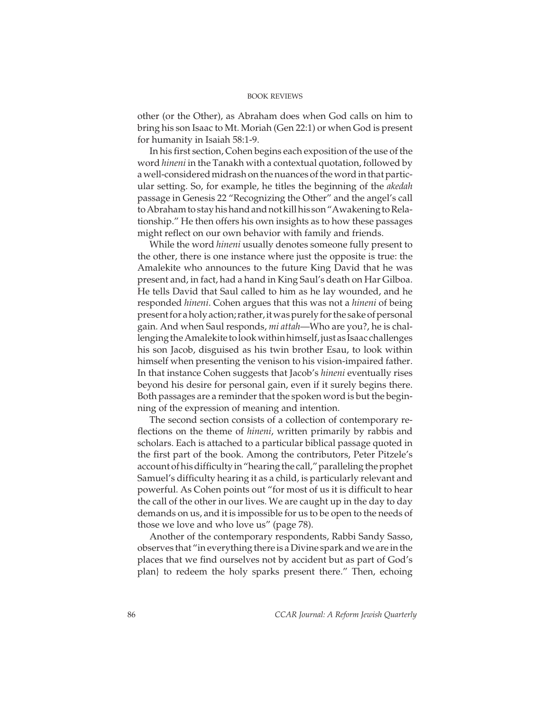other (or the Other), as Abraham does when God calls on him to bring his son Isaac to Mt. Moriah (Gen 22:1) or when God is present for humanity in Isaiah 58:1-9.

In his first section, Cohen begins each exposition of the use of the word hineni in the Tanakh with a contextual quotation, followed by a well-considered midrash on the nuances of the word in that particular setting. So, for example, he titles the beginning of the akedah passage in Genesis 22 "Recognizing the Other" and the angel's call to Abraham to stay his hand and not kill his son "Awakening to Relationship." He then offers his own insights as to how these passages might reflect on our own behavior with family and friends.

While the word *hineni* usually denotes someone fully present to the other, there is one instance where just the opposite is true: the Amalekite who announces to the future King David that he was present and, in fact, had a hand in King Saul's death on Har Gilboa. He tells David that Saul called to him as he lay wounded, and he responded hineni. Cohen argues that this was not a hineni of being present for a holy action; rather, it was purely for the sake of personal gain. And when Saul responds, mi attah—Who are you?, he is challenging the Amalekite to look within himself, just as Isaac challenges his son Jacob, disguised as his twin brother Esau, to look within himself when presenting the venison to his vision-impaired father. In that instance Cohen suggests that Jacob's *hineni* eventually rises beyond his desire for personal gain, even if it surely begins there. Both passages are a reminder that the spoken word is but the beginning of the expression of meaning and intention.

The second section consists of a collection of contemporary reflections on the theme of *hineni*, written primarily by rabbis and scholars. Each is attached to a particular biblical passage quoted in the first part of the book. Among the contributors, Peter Pitzele's account of his difficulty in "hearing the call," paralleling the prophet Samuel's difficulty hearing it as a child, is particularly relevant and powerful. As Cohen points out "for most of us it is difficult to hear the call of the other in our lives. We are caught up in the day to day demands on us, and it is impossible for us to be open to the needs of those we love and who love us" (page 78).

Another of the contemporary respondents, Rabbi Sandy Sasso, observes that "in everything there is a Divine spark and we are in the places that we find ourselves not by accident but as part of God's plan} to redeem the holy sparks present there." Then, echoing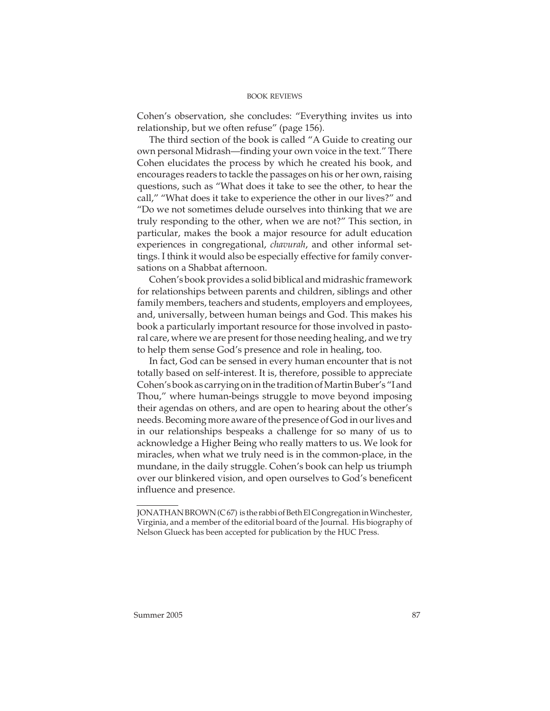Cohen's observation, she concludes: "Everything invites us into relationship, but we often refuse" (page 156).

The third section of the book is called "A Guide to creating our own personal Midrash—finding your own voice in the text." There Cohen elucidates the process by which he created his book, and encourages readers to tackle the passages on his or her own, raising questions, such as "What does it take to see the other, to hear the call," "What does it take to experience the other in our lives?" and "Do we not sometimes delude ourselves into thinking that we are truly responding to the other, when we are not?" This section, in particular, makes the book a major resource for adult education experiences in congregational, chavurah, and other informal settings. I think it would also be especially effective for family conversations on a Shabbat afternoon.

Cohen's book provides a solid biblical and midrashic framework for relationships between parents and children, siblings and other family members, teachers and students, employers and employees, and, universally, between human beings and God. This makes his book a particularly important resource for those involved in pastoral care, where we are present for those needing healing, and we try to help them sense God's presence and role in healing, too.

In fact, God can be sensed in every human encounter that is not totally based on self-interest. It is, therefore, possible to appreciate Cohen's book as carrying on in the tradition of Martin Buber's "I and Thou," where human-beings struggle to move beyond imposing their agendas on others, and are open to hearing about the other's needs. Becoming more aware of the presence of God in our lives and in our relationships bespeaks a challenge for so many of us to acknowledge a Higher Being who really matters to us. We look for miracles, when what we truly need is in the common-place, in the mundane, in the daily struggle. Cohen's book can help us triumph over our blinkered vision, and open ourselves to God's beneficent influence and presence.

JONATHAN BROWN (C 67) is the rabbi of Beth El Congregation in Winchester, Virginia, and a member of the editorial board of the Journal. His biography of Nelson Glueck has been accepted for publication by the HUC Press.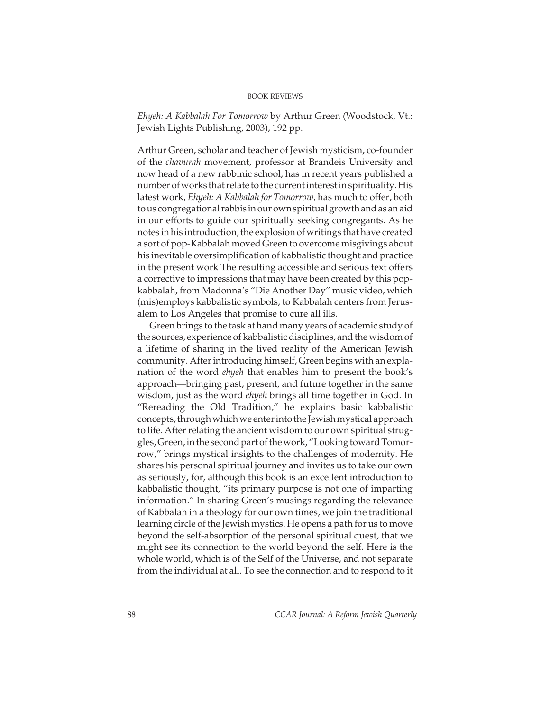Ehyeh: A Kabbalah For Tomorrow by Arthur Green (Woodstock, Vt.: Jewish Lights Publishing, 2003), 192 pp.

Arthur Green, scholar and teacher of Jewish mysticism, co-founder of the chavurah movement, professor at Brandeis University and now head of a new rabbinic school, has in recent years published a number of works that relate to the current interest in spirituality. His latest work, Ehyeh: A Kabbalah for Tomorrow, has much to offer, both to us congregational rabbis in our own spiritual growth and as an aid in our efforts to guide our spiritually seeking congregants. As he notes in his introduction, the explosion of writings that have created a sort of pop-Kabbalah moved Green to overcome misgivings about his inevitable oversimplification of kabbalistic thought and practice in the present work The resulting accessible and serious text offers a corrective to impressions that may have been created by this popkabbalah, from Madonna's "Die Another Day" music video, which (mis)employs kabbalistic symbols, to Kabbalah centers from Jerusalem to Los Angeles that promise to cure all ills.

Green brings to the task at hand many years of academic study of the sources, experience of kabbalistic disciplines, and the wisdom of a lifetime of sharing in the lived reality of the American Jewish community. After introducing himself, Green begins with an explanation of the word *ehyeh* that enables him to present the book's approach—bringing past, present, and future together in the same wisdom, just as the word ehyeh brings all time together in God. In "Rereading the Old Tradition," he explains basic kabbalistic concepts, through which we enter into the Jewish mystical approach to life. After relating the ancient wisdom to our own spiritual struggles, Green, in the second part of the work, "Looking toward Tomorrow," brings mystical insights to the challenges of modernity. He shares his personal spiritual journey and invites us to take our own as seriously, for, although this book is an excellent introduction to kabbalistic thought, "its primary purpose is not one of imparting information." In sharing Green's musings regarding the relevance of Kabbalah in a theology for our own times, we join the traditional learning circle of the Jewish mystics. He opens a path for us to move beyond the self-absorption of the personal spiritual quest, that we might see its connection to the world beyond the self. Here is the whole world, which is of the Self of the Universe, and not separate from the individual at all. To see the connection and to respond to it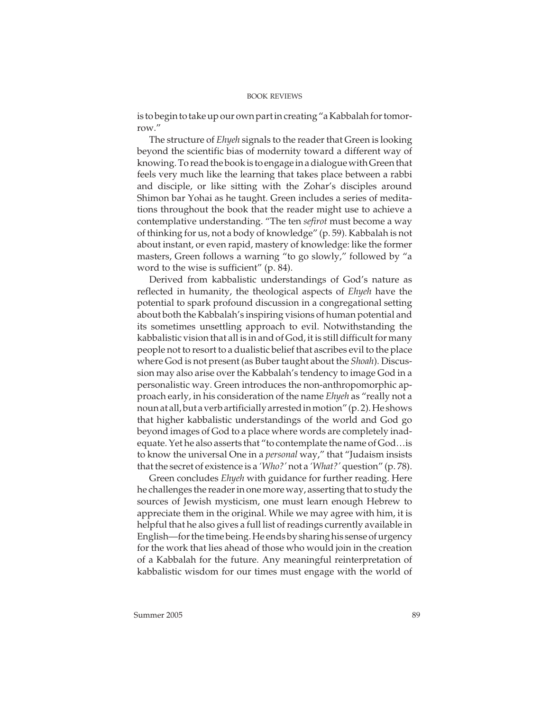is to begin to take up our own part in creating "a Kabbalah for tomorrow."

The structure of Ehyeh signals to the reader that Green is looking beyond the scientific bias of modernity toward a different way of knowing. To read the book is to engage in a dialogue with Green that feels very much like the learning that takes place between a rabbi and disciple, or like sitting with the Zohar's disciples around Shimon bar Yohai as he taught. Green includes a series of meditations throughout the book that the reader might use to achieve a contemplative understanding. "The ten sefirot must become a way of thinking for us, not a body of knowledge" (p. 59). Kabbalah is not about instant, or even rapid, mastery of knowledge: like the former masters, Green follows a warning "to go slowly," followed by "a word to the wise is sufficient" (p. 84).

Derived from kabbalistic understandings of God's nature as reflected in humanity, the theological aspects of Ehyeh have the potential to spark profound discussion in a congregational setting about both the Kabbalah's inspiring visions of human potential and its sometimes unsettling approach to evil. Notwithstanding the kabbalistic vision that all is in and of God, it is still difficult for many people not to resort to a dualistic belief that ascribes evil to the place where God is not present (as Buber taught about the Shoah). Discussion may also arise over the Kabbalah's tendency to image God in a personalistic way. Green introduces the non-anthropomorphic approach early, in his consideration of the name Ehyeh as "really not a noun at all, but a verb artificially arrested in motion" (p. 2). He shows that higher kabbalistic understandings of the world and God go beyond images of God to a place where words are completely inadequate. Yet he also asserts that "to contemplate the name of God…is to know the universal One in a *personal* way," that "Judaism insists that the secret of existence is a 'Who?' not a 'What?' question" (p. 78).

Green concludes Ehyeh with guidance for further reading. Here he challenges the reader in one more way, asserting that to study the sources of Jewish mysticism, one must learn enough Hebrew to appreciate them in the original. While we may agree with him, it is helpful that he also gives a full list of readings currently available in English—for the time being. He ends by sharing his sense of urgency for the work that lies ahead of those who would join in the creation of a Kabbalah for the future. Any meaningful reinterpretation of kabbalistic wisdom for our times must engage with the world of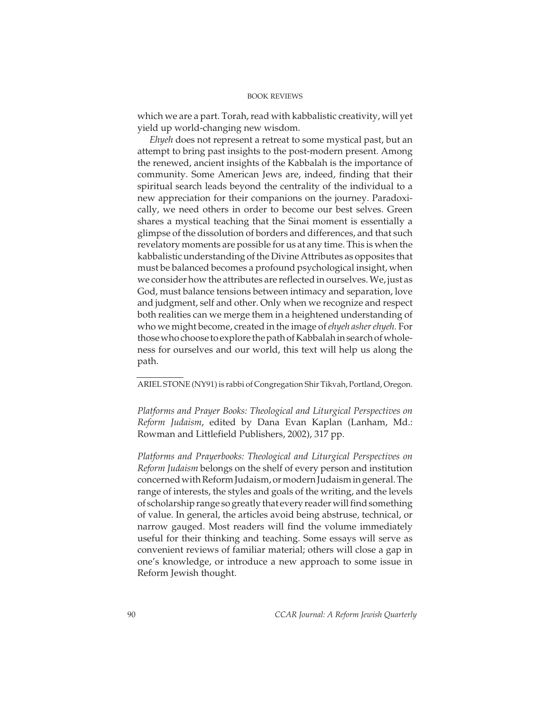which we are a part. Torah, read with kabbalistic creativity, will yet yield up world-changing new wisdom.

Ehyeh does not represent a retreat to some mystical past, but an attempt to bring past insights to the post-modern present. Among the renewed, ancient insights of the Kabbalah is the importance of community. Some American Jews are, indeed, finding that their spiritual search leads beyond the centrality of the individual to a new appreciation for their companions on the journey. Paradoxically, we need others in order to become our best selves. Green shares a mystical teaching that the Sinai moment is essentially a glimpse of the dissolution of borders and differences, and that such revelatory moments are possible for us at any time. This is when the kabbalistic understanding of the Divine Attributes as opposites that must be balanced becomes a profound psychological insight, when we consider how the attributes are reflected in ourselves. We, just as God, must balance tensions between intimacy and separation, love and judgment, self and other. Only when we recognize and respect both realities can we merge them in a heightened understanding of who we might become, created in the image of *ehyeh asher ehyeh*. For those who choose to explore the path of Kabbalah in search of wholeness for ourselves and our world, this text will help us along the path.

ARIEL STONE (NY91) is rabbi of Congregation Shir Tikvah, Portland, Oregon.

Platforms and Prayer Books: Theological and Liturgical Perspectives on Reform Judaism, edited by Dana Evan Kaplan (Lanham, Md.: Rowman and Littlefield Publishers, 2002), 317 pp.

Platforms and Prayerbooks: Theological and Liturgical Perspectives on Reform Judaism belongs on the shelf of every person and institution concerned with Reform Judaism, or modern Judaism in general. The range of interests, the styles and goals of the writing, and the levels of scholarship range so greatly that every reader will find something of value. In general, the articles avoid being abstruse, technical, or narrow gauged. Most readers will find the volume immediately useful for their thinking and teaching. Some essays will serve as convenient reviews of familiar material; others will close a gap in one's knowledge, or introduce a new approach to some issue in Reform Jewish thought.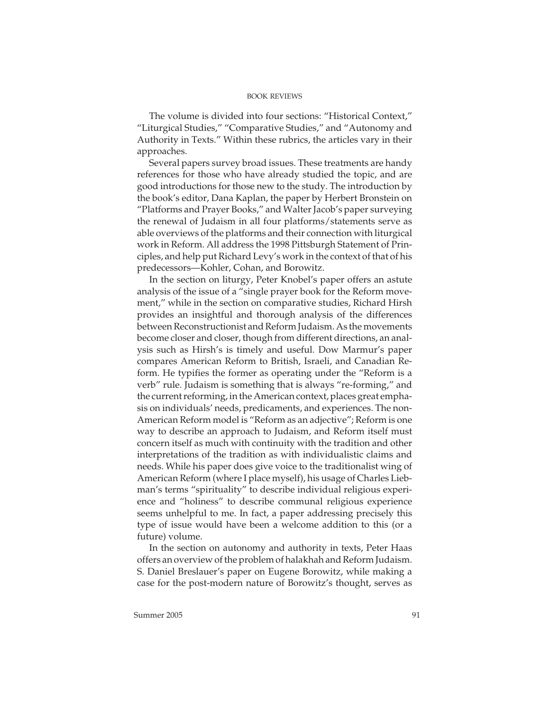The volume is divided into four sections: "Historical Context," "Liturgical Studies," "Comparative Studies," and "Autonomy and Authority in Texts." Within these rubrics, the articles vary in their approaches.

Several papers survey broad issues. These treatments are handy references for those who have already studied the topic, and are good introductions for those new to the study. The introduction by the book's editor, Dana Kaplan, the paper by Herbert Bronstein on "Platforms and Prayer Books," and Walter Jacob's paper surveying the renewal of Judaism in all four platforms/statements serve as able overviews of the platforms and their connection with liturgical work in Reform. All address the 1998 Pittsburgh Statement of Principles, and help put Richard Levy's work in the context of that of his predecessors—Kohler, Cohan, and Borowitz.

In the section on liturgy, Peter Knobel's paper offers an astute analysis of the issue of a "single prayer book for the Reform movement," while in the section on comparative studies, Richard Hirsh provides an insightful and thorough analysis of the differences between Reconstructionist and Reform Judaism. As the movements become closer and closer, though from different directions, an analysis such as Hirsh's is timely and useful. Dow Marmur's paper compares American Reform to British, Israeli, and Canadian Reform. He typifies the former as operating under the "Reform is a verb" rule. Judaism is something that is always "re-forming," and the current reforming, in the American context, places great emphasis on individuals' needs, predicaments, and experiences. The non-American Reform model is "Reform as an adjective"; Reform is one way to describe an approach to Judaism, and Reform itself must concern itself as much with continuity with the tradition and other interpretations of the tradition as with individualistic claims and needs. While his paper does give voice to the traditionalist wing of American Reform (where I place myself), his usage of Charles Liebman's terms "spirituality" to describe individual religious experience and "holiness" to describe communal religious experience seems unhelpful to me. In fact, a paper addressing precisely this type of issue would have been a welcome addition to this (or a future) volume.

In the section on autonomy and authority in texts, Peter Haas offers an overview of the problem of halakhah and Reform Judaism. S. Daniel Breslauer's paper on Eugene Borowitz, while making a case for the post-modern nature of Borowitz's thought, serves as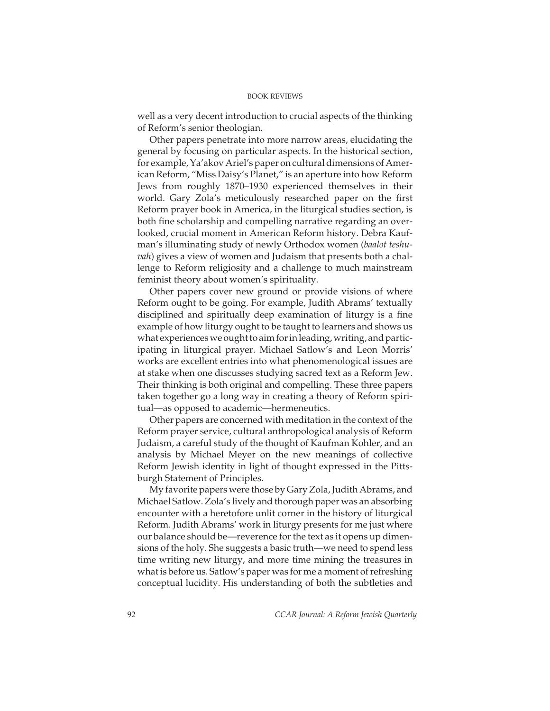well as a very decent introduction to crucial aspects of the thinking of Reform's senior theologian.

Other papers penetrate into more narrow areas, elucidating the general by focusing on particular aspects. In the historical section, for example, Ya'akov Ariel's paper on cultural dimensions of American Reform, "Miss Daisy's Planet," is an aperture into how Reform Jews from roughly 1870–1930 experienced themselves in their world. Gary Zola's meticulously researched paper on the first Reform prayer book in America, in the liturgical studies section, is both fine scholarship and compelling narrative regarding an overlooked, crucial moment in American Reform history. Debra Kaufman's illuminating study of newly Orthodox women (baalot teshuvah) gives a view of women and Judaism that presents both a challenge to Reform religiosity and a challenge to much mainstream feminist theory about women's spirituality.

Other papers cover new ground or provide visions of where Reform ought to be going. For example, Judith Abrams' textually disciplined and spiritually deep examination of liturgy is a fine example of how liturgy ought to be taught to learners and shows us what experiences we ought to aim for in leading, writing, and participating in liturgical prayer. Michael Satlow's and Leon Morris' works are excellent entries into what phenomenological issues are at stake when one discusses studying sacred text as a Reform Jew. Their thinking is both original and compelling. These three papers taken together go a long way in creating a theory of Reform spiritual—as opposed to academic—hermeneutics.

Other papers are concerned with meditation in the context of the Reform prayer service, cultural anthropological analysis of Reform Judaism, a careful study of the thought of Kaufman Kohler, and an analysis by Michael Meyer on the new meanings of collective Reform Jewish identity in light of thought expressed in the Pittsburgh Statement of Principles.

My favorite papers were those by Gary Zola, Judith Abrams, and Michael Satlow. Zola's lively and thorough paper was an absorbing encounter with a heretofore unlit corner in the history of liturgical Reform. Judith Abrams' work in liturgy presents for me just where our balance should be—reverence for the text as it opens up dimensions of the holy. She suggests a basic truth—we need to spend less time writing new liturgy, and more time mining the treasures in what is before us. Satlow's paper was for me a moment of refreshing conceptual lucidity. His understanding of both the subtleties and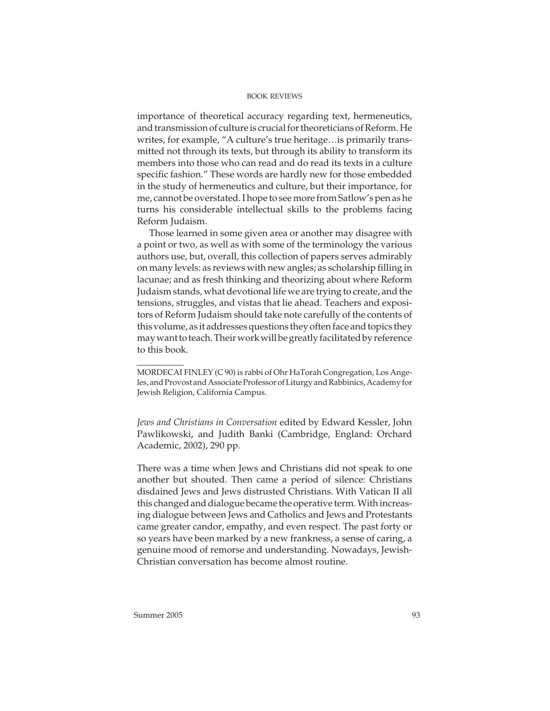importance of theoretical accuracy regarding text, hermeneutics, and transmission of culture is crucial for theoreticians of Reform. He writes, for example, "A culture's true heritage…is primarily transmitted not through its texts, but through its ability to transform its members into those who can read and do read its texts in a culture specific fashion." These words are hardly new for those embedded in the study of hermeneutics and culture, but their importance, for me, cannot be overstated. I hope to see more from Satlow's pen as he turns his considerable intellectual skills to the problems facing Reform Judaism.

Those learned in some given area or another may disagree with a point or two, as well as with some of the terminology the various authors use, but, overall, this collection of papers serves admirably on many levels: as reviews with new angles; as scholarship filling in lacunae; and as fresh thinking and theorizing about where Reform Judaism stands, what devotional life we are trying to create, and the tensions, struggles, and vistas that lie ahead. Teachers and expositors of Reform Judaism should take note carefully of the contents of this volume, as it addresses questions they often face and topics they may want to teach. Their work will be greatly facilitated by reference to this book.

Jews and Christians in Conversation edited by Edward Kessler, John Pawlikowski, and Judith Banki (Cambridge, England: Orchard Academic, 2002), 290 pp.

There was a time when Jews and Christians did not speak to one another but shouted. Then came a period of silence: Christians disdained Jews and Jews distrusted Christians. With Vatican II all this changed and dialogue became the operative term. With increasing dialogue between Jews and Catholics and Jews and Protestants came greater candor, empathy, and even respect. The past forty or so years have been marked by a new frankness, a sense of caring, a genuine mood of remorse and understanding. Nowadays, Jewish-Christian conversation has become almost routine.

MORDECAI FINLEY (C 90) is rabbi of Ohr HaTorah Congregation, Los Angeles, and Provost and Associate Professor of Liturgy and Rabbinics, Academy for Jewish Religion, California Campus.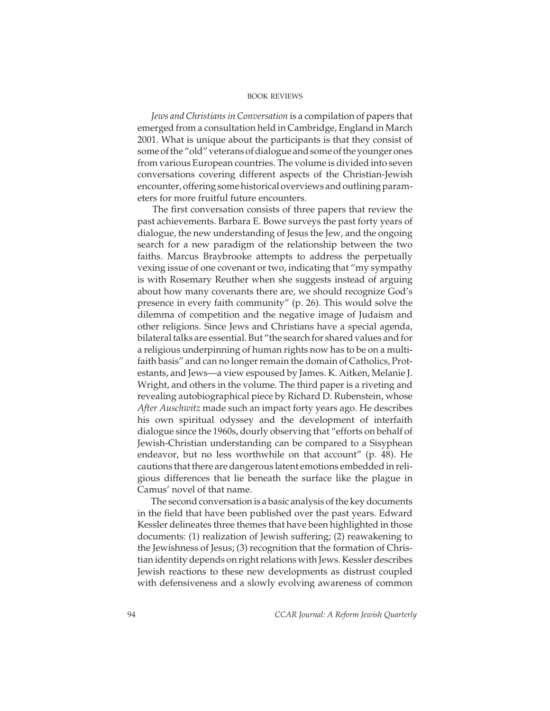Jews and Christians in Conversation is a compilation of papers that emerged from a consultation held in Cambridge, England in March 2001. What is unique about the participants is that they consist of some of the "old" veterans of dialogue and some of the younger ones from various European countries. The volume is divided into seven conversations covering different aspects of the Christian-Jewish encounter, offering some historical overviews and outlining parameters for more fruitful future encounters.

The first conversation consists of three papers that review the past achievements. Barbara E. Bowe surveys the past forty years of dialogue, the new understanding of Jesus the Jew, and the ongoing search for a new paradigm of the relationship between the two faiths. Marcus Braybrooke attempts to address the perpetually vexing issue of one covenant or two, indicating that "my sympathy is with Rosemary Reuther when she suggests instead of arguing about how many covenants there are, we should recognize God's presence in every faith community" (p. 26). This would solve the dilemma of competition and the negative image of Judaism and other religions. Since Jews and Christians have a special agenda, bilateral talks are essential. But "the search for shared values and for a religious underpinning of human rights now has to be on a multifaith basis" and can no longer remain the domain of Catholics, Protestants, and Jews—a view espoused by James. K. Aitken, Melanie J. Wright, and others in the volume. The third paper is a riveting and revealing autobiographical piece by Richard D. Rubenstein, whose After Auschwitz made such an impact forty years ago. He describes his own spiritual odyssey and the development of interfaith dialogue since the 1960s, dourly observing that "efforts on behalf of Jewish-Christian understanding can be compared to a Sisyphean endeavor, but no less worthwhile on that account" (p. 48). He cautions that there are dangerous latent emotions embedded in religious differences that lie beneath the surface like the plague in Camus' novel of that name.

The second conversation is a basic analysis of the key documents in the field that have been published over the past years. Edward Kessler delineates three themes that have been highlighted in those documents: (1) realization of Jewish suffering; (2) reawakening to the Jewishness of Jesus; (3) recognition that the formation of Christian identity depends on right relations with Jews. Kessler describes Jewish reactions to these new developments as distrust coupled with defensiveness and a slowly evolving awareness of common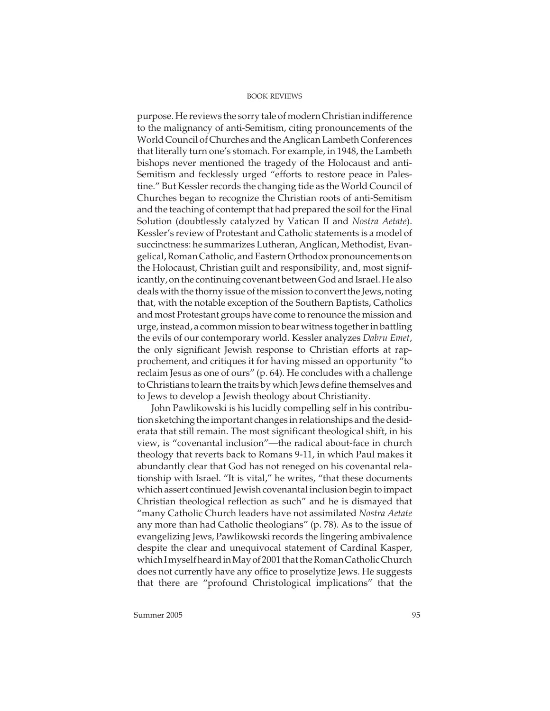purpose. He reviews the sorry tale of modern Christian indifference to the malignancy of anti-Semitism, citing pronouncements of the World Council of Churches and the Anglican Lambeth Conferences that literally turn one's stomach. For example, in 1948, the Lambeth bishops never mentioned the tragedy of the Holocaust and anti-Semitism and fecklessly urged "efforts to restore peace in Palestine." But Kessler records the changing tide as the World Council of Churches began to recognize the Christian roots of anti-Semitism and the teaching of contempt that had prepared the soil for the Final Solution (doubtlessly catalyzed by Vatican II and Nostra Aetate). Kessler's review of Protestant and Catholic statements is a model of succinctness: he summarizes Lutheran, Anglican, Methodist, Evangelical, Roman Catholic, and Eastern Orthodox pronouncements on the Holocaust, Christian guilt and responsibility, and, most significantly, on the continuing covenant between God and Israel. He also deals with the thorny issue of the mission to convert the Jews, noting that, with the notable exception of the Southern Baptists, Catholics and most Protestant groups have come to renounce the mission and urge, instead, a common mission to bear witness together in battling the evils of our contemporary world. Kessler analyzes Dabru Emet, the only significant Jewish response to Christian efforts at rapprochement, and critiques it for having missed an opportunity "to reclaim Jesus as one of ours" (p. 64). He concludes with a challenge to Christians to learn the traits by which Jews define themselves and to Jews to develop a Jewish theology about Christianity.

John Pawlikowski is his lucidly compelling self in his contribution sketching the important changes in relationships and the desiderata that still remain. The most significant theological shift, in his view, is "covenantal inclusion"—the radical about-face in church theology that reverts back to Romans 9-11, in which Paul makes it abundantly clear that God has not reneged on his covenantal relationship with Israel. "It is vital," he writes, "that these documents which assert continued Jewish covenantal inclusion begin to impact Christian theological reflection as such" and he is dismayed that "many Catholic Church leaders have not assimilated Nostra Aetate any more than had Catholic theologians" (p. 78). As to the issue of evangelizing Jews, Pawlikowski records the lingering ambivalence despite the clear and unequivocal statement of Cardinal Kasper, which I myself heard in May of 2001 that the Roman Catholic Church does not currently have any office to proselytize Jews. He suggests that there are "profound Christological implications" that the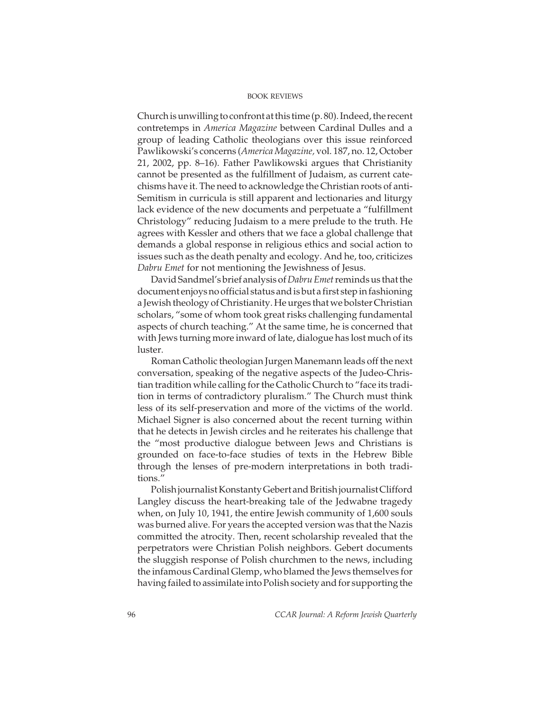Church is unwilling to confront at this time (p. 80). Indeed, the recent contretemps in America Magazine between Cardinal Dulles and a group of leading Catholic theologians over this issue reinforced Pawlikowski's concerns (America Magazine, vol. 187, no. 12, October 21, 2002, pp. 8–16). Father Pawlikowski argues that Christianity cannot be presented as the fulfillment of Judaism, as current catechisms have it. The need to acknowledge the Christian roots of anti-Semitism in curricula is still apparent and lectionaries and liturgy lack evidence of the new documents and perpetuate a "fulfillment Christology" reducing Judaism to a mere prelude to the truth. He agrees with Kessler and others that we face a global challenge that demands a global response in religious ethics and social action to issues such as the death penalty and ecology. And he, too, criticizes Dabru Emet for not mentioning the Jewishness of Jesus.

David Sandmel's brief analysis of Dabru Emet reminds us that the document enjoys no official status and is but a first step in fashioning a Jewish theology of Christianity. He urges that we bolster Christian scholars, "some of whom took great risks challenging fundamental aspects of church teaching." At the same time, he is concerned that with Jews turning more inward of late, dialogue has lost much of its luster.

Roman Catholic theologian Jurgen Manemann leads off the next conversation, speaking of the negative aspects of the Judeo-Christian tradition while calling for the Catholic Church to "face its tradition in terms of contradictory pluralism." The Church must think less of its self-preservation and more of the victims of the world. Michael Signer is also concerned about the recent turning within that he detects in Jewish circles and he reiterates his challenge that the "most productive dialogue between Jews and Christians is grounded on face-to-face studies of texts in the Hebrew Bible through the lenses of pre-modern interpretations in both traditions."

Polish journalist Konstanty Gebert and British journalist Clifford Langley discuss the heart-breaking tale of the Jedwabne tragedy when, on July 10, 1941, the entire Jewish community of 1,600 souls was burned alive. For years the accepted version was that the Nazis committed the atrocity. Then, recent scholarship revealed that the perpetrators were Christian Polish neighbors. Gebert documents the sluggish response of Polish churchmen to the news, including the infamous Cardinal Glemp, who blamed the Jews themselves for having failed to assimilate into Polish society and for supporting the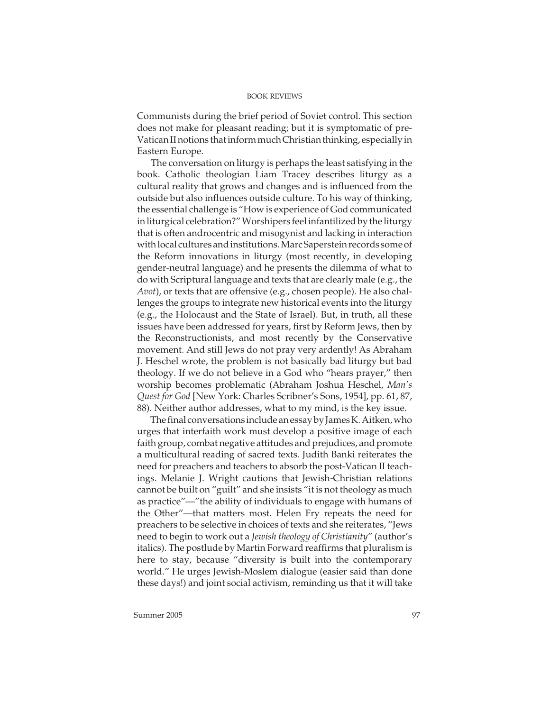Communists during the brief period of Soviet control. This section does not make for pleasant reading; but it is symptomatic of pre-Vatican II notions that inform much Christian thinking, especially in Eastern Europe.

The conversation on liturgy is perhaps the least satisfying in the book. Catholic theologian Liam Tracey describes liturgy as a cultural reality that grows and changes and is influenced from the outside but also influences outside culture. To his way of thinking, the essential challenge is "How is experience of God communicated in liturgical celebration?" Worshipers feel infantilized by the liturgy that is often androcentric and misogynist and lacking in interaction with local cultures and institutions. Marc Saperstein records some of the Reform innovations in liturgy (most recently, in developing gender-neutral language) and he presents the dilemma of what to do with Scriptural language and texts that are clearly male (e.g., the Avot), or texts that are offensive (e.g., chosen people). He also challenges the groups to integrate new historical events into the liturgy (e.g., the Holocaust and the State of Israel). But, in truth, all these issues have been addressed for years, first by Reform Jews, then by the Reconstructionists, and most recently by the Conservative movement. And still Jews do not pray very ardently! As Abraham J. Heschel wrote, the problem is not basically bad liturgy but bad theology. If we do not believe in a God who "hears prayer," then worship becomes problematic (Abraham Joshua Heschel, Man's Quest for God [New York: Charles Scribner's Sons, 1954], pp. 61, 87, 88). Neither author addresses, what to my mind, is the key issue.

The final conversations include an essay by James K. Aitken, who urges that interfaith work must develop a positive image of each faith group, combat negative attitudes and prejudices, and promote a multicultural reading of sacred texts. Judith Banki reiterates the need for preachers and teachers to absorb the post-Vatican II teachings. Melanie J. Wright cautions that Jewish-Christian relations cannot be built on "guilt" and she insists "it is not theology as much as practice"—"the ability of individuals to engage with humans of the Other"—that matters most. Helen Fry repeats the need for preachers to be selective in choices of texts and she reiterates, "Jews need to begin to work out a Jewish theology of Christianity" (author's italics). The postlude by Martin Forward reaffirms that pluralism is here to stay, because "diversity is built into the contemporary world." He urges Jewish-Moslem dialogue (easier said than done these days!) and joint social activism, reminding us that it will take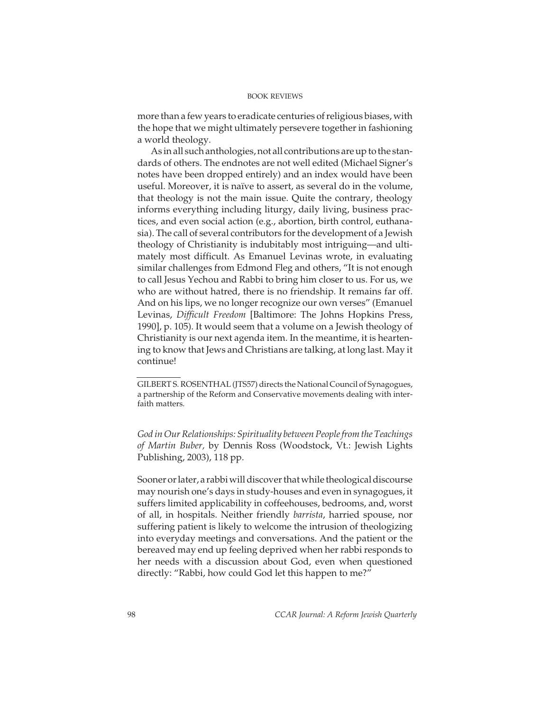more than a few years to eradicate centuries of religious biases, with the hope that we might ultimately persevere together in fashioning a world theology.

As in all such anthologies, not all contributions are up to the standards of others. The endnotes are not well edited (Michael Signer's notes have been dropped entirely) and an index would have been useful. Moreover, it is naïve to assert, as several do in the volume, that theology is not the main issue. Quite the contrary, theology informs everything including liturgy, daily living, business practices, and even social action (e.g., abortion, birth control, euthanasia). The call of several contributors for the development of a Jewish theology of Christianity is indubitably most intriguing—and ultimately most difficult. As Emanuel Levinas wrote, in evaluating similar challenges from Edmond Fleg and others, "It is not enough to call Jesus Yechou and Rabbi to bring him closer to us. For us, we who are without hatred, there is no friendship. It remains far off. And on his lips, we no longer recognize our own verses" (Emanuel Levinas, Difficult Freedom [Baltimore: The Johns Hopkins Press, 1990], p. 105). It would seem that a volume on a Jewish theology of Christianity is our next agenda item. In the meantime, it is heartening to know that Jews and Christians are talking, at long last. May it continue!

God in Our Relationships: Spirituality between People from the Teachings of Martin Buber, by Dennis Ross (Woodstock, Vt.: Jewish Lights Publishing, 2003), 118 pp.

Sooner or later, a rabbi will discover that while theological discourse may nourish one's days in study-houses and even in synagogues, it suffers limited applicability in coffeehouses, bedrooms, and, worst of all, in hospitals. Neither friendly barrista, harried spouse, nor suffering patient is likely to welcome the intrusion of theologizing into everyday meetings and conversations. And the patient or the bereaved may end up feeling deprived when her rabbi responds to her needs with a discussion about God, even when questioned directly: "Rabbi, how could God let this happen to me?"

GILBERT S. ROSENTHAL (JTS57) directs the National Council of Synagogues, a partnership of the Reform and Conservative movements dealing with interfaith matters.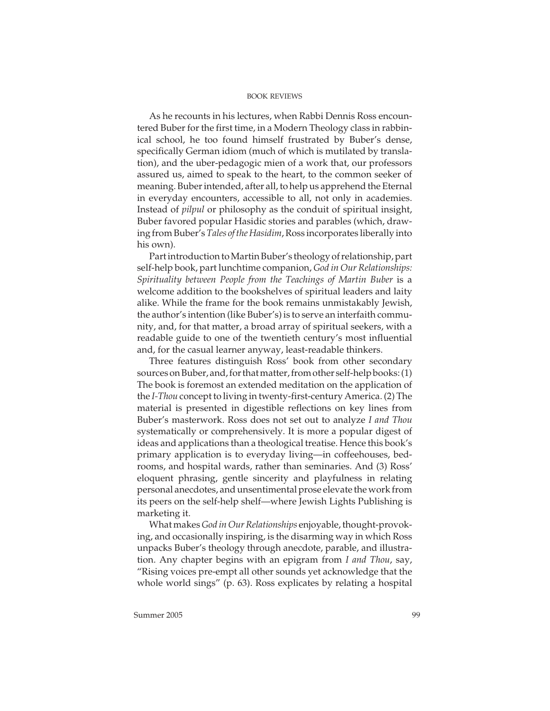As he recounts in his lectures, when Rabbi Dennis Ross encountered Buber for the first time, in a Modern Theology class in rabbinical school, he too found himself frustrated by Buber's dense, specifically German idiom (much of which is mutilated by translation), and the uber-pedagogic mien of a work that, our professors assured us, aimed to speak to the heart, to the common seeker of meaning. Buber intended, after all, to help us apprehend the Eternal in everyday encounters, accessible to all, not only in academies. Instead of pilpul or philosophy as the conduit of spiritual insight, Buber favored popular Hasidic stories and parables (which, drawing from Buber's Tales of the Hasidim, Ross incorporates liberally into his own).

Part introduction to Martin Buber's theology of relationship, part self-help book, part lunchtime companion, God in Our Relationships: Spirituality between People from the Teachings of Martin Buber is a welcome addition to the bookshelves of spiritual leaders and laity alike. While the frame for the book remains unmistakably Jewish, the author's intention (like Buber's) is to serve an interfaith community, and, for that matter, a broad array of spiritual seekers, with a readable guide to one of the twentieth century's most influential and, for the casual learner anyway, least-readable thinkers.

Three features distinguish Ross' book from other secondary sources on Buber, and, for that matter, from other self-help books: (1) The book is foremost an extended meditation on the application of the I-Thou concept to living in twenty-first-century America. (2) The material is presented in digestible reflections on key lines from Buber's masterwork. Ross does not set out to analyze I and Thou systematically or comprehensively. It is more a popular digest of ideas and applications than a theological treatise. Hence this book's primary application is to everyday living—in coffeehouses, bedrooms, and hospital wards, rather than seminaries. And (3) Ross' eloquent phrasing, gentle sincerity and playfulness in relating personal anecdotes, and unsentimental prose elevate the work from its peers on the self-help shelf—where Jewish Lights Publishing is marketing it.

What makes God in Our Relationships enjoyable, thought-provoking, and occasionally inspiring, is the disarming way in which Ross unpacks Buber's theology through anecdote, parable, and illustration. Any chapter begins with an epigram from I and Thou, say, "Rising voices pre-empt all other sounds yet acknowledge that the whole world sings" (p. 63). Ross explicates by relating a hospital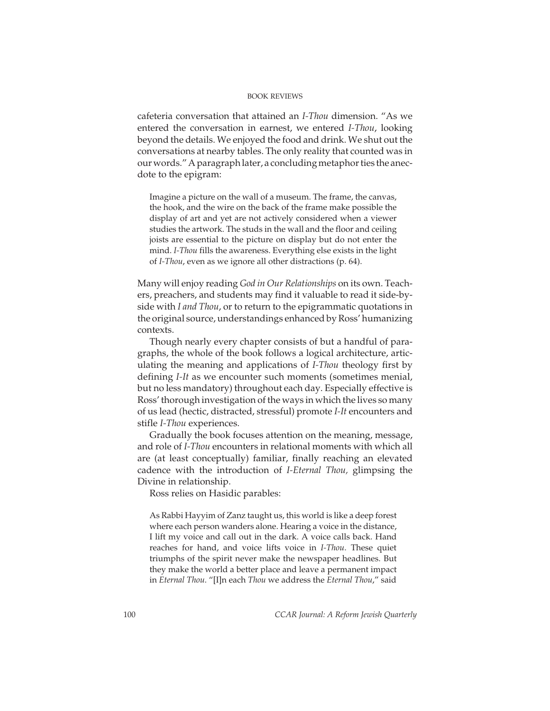cafeteria conversation that attained an I-Thou dimension. "As we entered the conversation in earnest, we entered I-Thou, looking beyond the details. We enjoyed the food and drink. We shut out the conversations at nearby tables. The only reality that counted was in our words." A paragraph later, a concluding metaphor ties the anecdote to the epigram:

Imagine a picture on the wall of a museum. The frame, the canvas, the hook, and the wire on the back of the frame make possible the display of art and yet are not actively considered when a viewer studies the artwork. The studs in the wall and the floor and ceiling joists are essential to the picture on display but do not enter the mind. I-Thou fills the awareness. Everything else exists in the light of I-Thou, even as we ignore all other distractions (p. 64).

Many will enjoy reading God in Our Relationships on its own. Teachers, preachers, and students may find it valuable to read it side-byside with I and Thou, or to return to the epigrammatic quotations in the original source, understandings enhanced by Ross' humanizing contexts.

Though nearly every chapter consists of but a handful of paragraphs, the whole of the book follows a logical architecture, articulating the meaning and applications of I-Thou theology first by defining I-It as we encounter such moments (sometimes menial, but no less mandatory) throughout each day. Especially effective is Ross' thorough investigation of the ways in which the lives so many of us lead (hectic, distracted, stressful) promote I-It encounters and stifle I-Thou experiences.

Gradually the book focuses attention on the meaning, message, and role of I-Thou encounters in relational moments with which all are (at least conceptually) familiar, finally reaching an elevated cadence with the introduction of I-Eternal Thou, glimpsing the Divine in relationship.

Ross relies on Hasidic parables:

As Rabbi Hayyim of Zanz taught us, this world is like a deep forest where each person wanders alone. Hearing a voice in the distance, I lift my voice and call out in the dark. A voice calls back. Hand reaches for hand, and voice lifts voice in I-Thou. These quiet triumphs of the spirit never make the newspaper headlines. But they make the world a better place and leave a permanent impact in Eternal Thou. "[I]n each Thou we address the Eternal Thou," said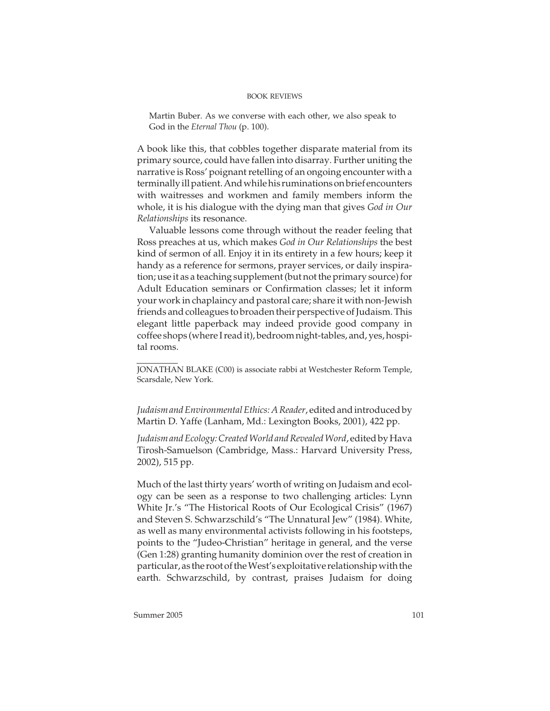Martin Buber. As we converse with each other, we also speak to God in the Eternal Thou (p. 100).

A book like this, that cobbles together disparate material from its primary source, could have fallen into disarray. Further uniting the narrative is Ross' poignant retelling of an ongoing encounter with a terminally ill patient. And while his ruminations on brief encounters with waitresses and workmen and family members inform the whole, it is his dialogue with the dying man that gives God in Our Relationships its resonance.

Valuable lessons come through without the reader feeling that Ross preaches at us, which makes God in Our Relationships the best kind of sermon of all. Enjoy it in its entirety in a few hours; keep it handy as a reference for sermons, prayer services, or daily inspiration; use it as a teaching supplement (but not the primary source) for Adult Education seminars or Confirmation classes; let it inform your work in chaplaincy and pastoral care; share it with non-Jewish friends and colleagues to broaden their perspective of Judaism. This elegant little paperback may indeed provide good company in coffee shops (where I read it), bedroom night-tables, and, yes, hospital rooms.

JONATHAN BLAKE (C00) is associate rabbi at Westchester Reform Temple, Scarsdale, New York.

Judaism and Environmental Ethics: A Reader, edited and introduced by Martin D. Yaffe (Lanham, Md.: Lexington Books, 2001), 422 pp.

Judaism and Ecology: Created World and Revealed Word, edited by Hava Tirosh-Samuelson (Cambridge, Mass.: Harvard University Press, 2002), 515 pp.

Much of the last thirty years' worth of writing on Judaism and ecology can be seen as a response to two challenging articles: Lynn White Jr.'s "The Historical Roots of Our Ecological Crisis" (1967) and Steven S. Schwarzschild's "The Unnatural Jew" (1984). White, as well as many environmental activists following in his footsteps, points to the "Judeo-Christian" heritage in general, and the verse (Gen 1:28) granting humanity dominion over the rest of creation in particular, as the root of the West's exploitative relationship with the earth. Schwarzschild, by contrast, praises Judaism for doing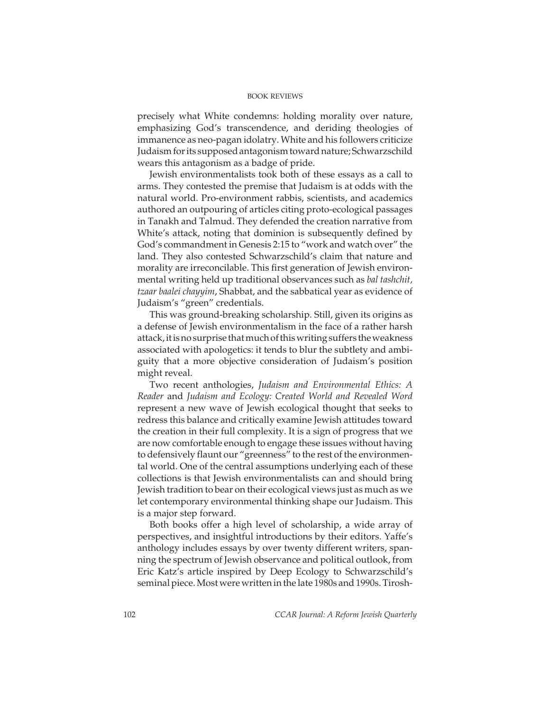precisely what White condemns: holding morality over nature, emphasizing God's transcendence, and deriding theologies of immanence as neo-pagan idolatry. White and his followers criticize Judaism for its supposed antagonism toward nature; Schwarzschild wears this antagonism as a badge of pride.

Jewish environmentalists took both of these essays as a call to arms. They contested the premise that Judaism is at odds with the natural world. Pro-environment rabbis, scientists, and academics authored an outpouring of articles citing proto-ecological passages in Tanakh and Talmud. They defended the creation narrative from White's attack, noting that dominion is subsequently defined by God's commandment in Genesis 2:15 to "work and watch over" the land. They also contested Schwarzschild's claim that nature and morality are irreconcilable. This first generation of Jewish environmental writing held up traditional observances such as bal tashchit, tzaar baalei chayyim, Shabbat, and the sabbatical year as evidence of Judaism's "green" credentials.

This was ground-breaking scholarship. Still, given its origins as a defense of Jewish environmentalism in the face of a rather harsh attack, it is no surprise that much of this writing suffers the weakness associated with apologetics: it tends to blur the subtlety and ambiguity that a more objective consideration of Judaism's position might reveal.

Two recent anthologies, Judaism and Environmental Ethics: A Reader and Judaism and Ecology: Created World and Revealed Word represent a new wave of Jewish ecological thought that seeks to redress this balance and critically examine Jewish attitudes toward the creation in their full complexity. It is a sign of progress that we are now comfortable enough to engage these issues without having to defensively flaunt our "greenness" to the rest of the environmental world. One of the central assumptions underlying each of these collections is that Jewish environmentalists can and should bring Jewish tradition to bear on their ecological views just as much as we let contemporary environmental thinking shape our Judaism. This is a major step forward.

Both books offer a high level of scholarship, a wide array of perspectives, and insightful introductions by their editors. Yaffe's anthology includes essays by over twenty different writers, spanning the spectrum of Jewish observance and political outlook, from Eric Katz's article inspired by Deep Ecology to Schwarzschild's seminal piece. Most were written in the late 1980s and 1990s. Tirosh-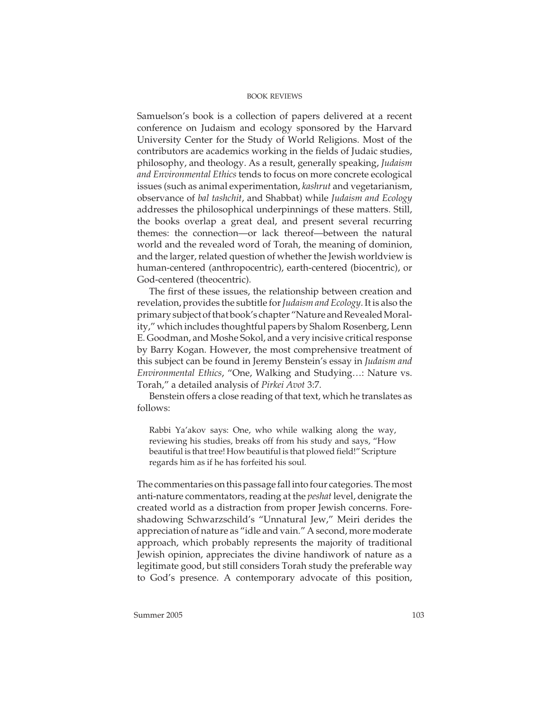Samuelson's book is a collection of papers delivered at a recent conference on Judaism and ecology sponsored by the Harvard University Center for the Study of World Religions. Most of the contributors are academics working in the fields of Judaic studies, philosophy, and theology. As a result, generally speaking, Judaism and Environmental Ethics tends to focus on more concrete ecological issues (such as animal experimentation, kashrut and vegetarianism, observance of bal tashchit, and Shabbat) while Judaism and Ecology addresses the philosophical underpinnings of these matters. Still, the books overlap a great deal, and present several recurring themes: the connection—or lack thereof—between the natural world and the revealed word of Torah, the meaning of dominion, and the larger, related question of whether the Jewish worldview is human-centered (anthropocentric), earth-centered (biocentric), or God-centered (theocentric).

The first of these issues, the relationship between creation and revelation, provides the subtitle for Judaism and Ecology. It is also the primary subject of that book's chapter "Nature and Revealed Morality," which includes thoughtful papers by Shalom Rosenberg, Lenn E. Goodman, and Moshe Sokol, and a very incisive critical response by Barry Kogan. However, the most comprehensive treatment of this subject can be found in Jeremy Benstein's essay in Judaism and Environmental Ethics, "One, Walking and Studying…: Nature vs. Torah," a detailed analysis of Pirkei Avot 3:7.

Benstein offers a close reading of that text, which he translates as follows:

Rabbi Ya'akov says: One, who while walking along the way, reviewing his studies, breaks off from his study and says, "How beautiful is that tree! How beautiful is that plowed field!" Scripture regards him as if he has forfeited his soul.

The commentaries on this passage fall into four categories. The most anti-nature commentators, reading at the peshat level, denigrate the created world as a distraction from proper Jewish concerns. Foreshadowing Schwarzschild's "Unnatural Jew," Meiri derides the appreciation of nature as "idle and vain." A second, more moderate approach, which probably represents the majority of traditional Jewish opinion, appreciates the divine handiwork of nature as a legitimate good, but still considers Torah study the preferable way to God's presence. A contemporary advocate of this position,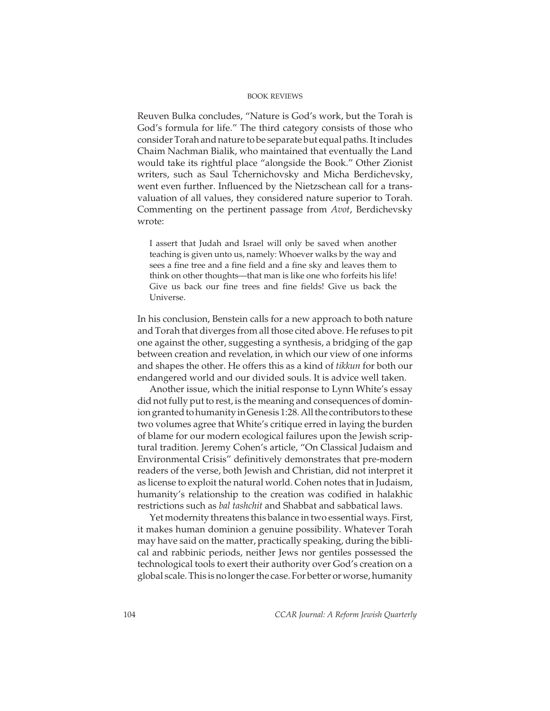Reuven Bulka concludes, "Nature is God's work, but the Torah is God's formula for life." The third category consists of those who consider Torah and nature to be separate but equal paths. It includes Chaim Nachman Bialik, who maintained that eventually the Land would take its rightful place "alongside the Book." Other Zionist writers, such as Saul Tchernichovsky and Micha Berdichevsky, went even further. Influenced by the Nietzschean call for a transvaluation of all values, they considered nature superior to Torah. Commenting on the pertinent passage from Avot, Berdichevsky wrote:

I assert that Judah and Israel will only be saved when another teaching is given unto us, namely: Whoever walks by the way and sees a fine tree and a fine field and a fine sky and leaves them to think on other thoughts—that man is like one who forfeits his life! Give us back our fine trees and fine fields! Give us back the Universe.

In his conclusion, Benstein calls for a new approach to both nature and Torah that diverges from all those cited above. He refuses to pit one against the other, suggesting a synthesis, a bridging of the gap between creation and revelation, in which our view of one informs and shapes the other. He offers this as a kind of tikkun for both our endangered world and our divided souls. It is advice well taken.

Another issue, which the initial response to Lynn White's essay did not fully put to rest, is the meaning and consequences of dominion granted to humanity in Genesis 1:28. All the contributors to these two volumes agree that White's critique erred in laying the burden of blame for our modern ecological failures upon the Jewish scriptural tradition. Jeremy Cohen's article, "On Classical Judaism and Environmental Crisis" definitively demonstrates that pre-modern readers of the verse, both Jewish and Christian, did not interpret it as license to exploit the natural world. Cohen notes that in Judaism, humanity's relationship to the creation was codified in halakhic restrictions such as bal tashchit and Shabbat and sabbatical laws.

Yet modernity threatens this balance in two essential ways. First, it makes human dominion a genuine possibility. Whatever Torah may have said on the matter, practically speaking, during the biblical and rabbinic periods, neither Jews nor gentiles possessed the technological tools to exert their authority over God's creation on a global scale. This is no longer the case. For better or worse, humanity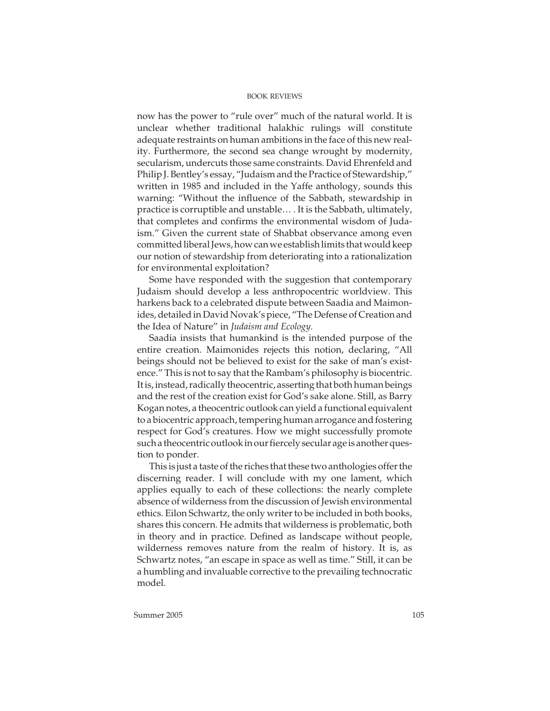now has the power to "rule over" much of the natural world. It is unclear whether traditional halakhic rulings will constitute adequate restraints on human ambitions in the face of this new reality. Furthermore, the second sea change wrought by modernity, secularism, undercuts those same constraints. David Ehrenfeld and Philip J. Bentley's essay, "Judaism and the Practice of Stewardship," written in 1985 and included in the Yaffe anthology, sounds this warning: "Without the influence of the Sabbath, stewardship in practice is corruptible and unstable… . It is the Sabbath, ultimately, that completes and confirms the environmental wisdom of Judaism." Given the current state of Shabbat observance among even committed liberal Jews, how can we establish limits that would keep our notion of stewardship from deteriorating into a rationalization for environmental exploitation?

Some have responded with the suggestion that contemporary Judaism should develop a less anthropocentric worldview. This harkens back to a celebrated dispute between Saadia and Maimonides, detailed in David Novak's piece, "The Defense of Creation and the Idea of Nature" in Judaism and Ecology.

Saadia insists that humankind is the intended purpose of the entire creation. Maimonides rejects this notion, declaring, "All beings should not be believed to exist for the sake of man's existence." This is not to say that the Rambam's philosophy is biocentric. It is, instead, radically theocentric, asserting that both human beings and the rest of the creation exist for God's sake alone. Still, as Barry Kogan notes, a theocentric outlook can yield a functional equivalent to a biocentric approach, tempering human arrogance and fostering respect for God's creatures. How we might successfully promote such a theocentric outlook in our fiercely secular age is another question to ponder.

This is just a taste of the riches that these two anthologies offer the discerning reader. I will conclude with my one lament, which applies equally to each of these collections: the nearly complete absence of wilderness from the discussion of Jewish environmental ethics. Eilon Schwartz, the only writer to be included in both books, shares this concern. He admits that wilderness is problematic, both in theory and in practice. Defined as landscape without people, wilderness removes nature from the realm of history. It is, as Schwartz notes, "an escape in space as well as time." Still, it can be a humbling and invaluable corrective to the prevailing technocratic model.